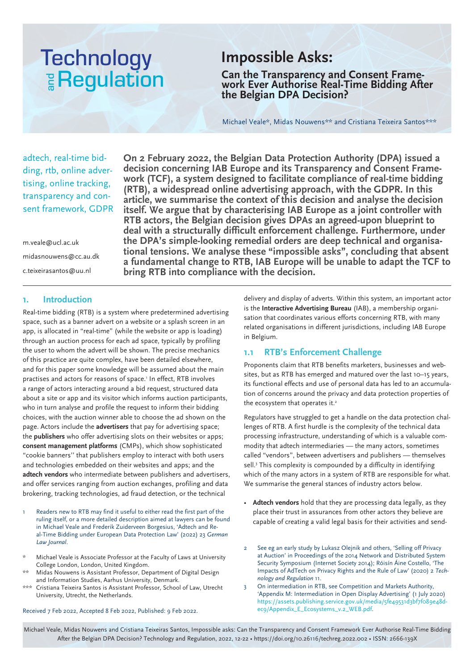# **Technology E** Regulation

### **Impossible Asks:**

**Can the Transparency and Consent Frame- work Ever Authorise Real-Time Bidding After the Belgian DPA Decision?**

Michael Veale\*, Midas Nouwens\*\* and Cristiana Teixeira Santos\*\*\*

adtech, real-time bidding, rtb, online advertising, online tracking, transparency and consent framework, GDPR

m.veale@ucl.ac.uk midasnouwens@cc.au.dk c.teixeirasantos@uu.nl

**On 2 February 2022, the Belgian Data Protection Authority (DPA) issued a decision concerning IAB Europe and its Transparency and Consent Framework (TCF), a system designed to facilitate compliance of real-time bidding (RTB), a widespread online advertising approach, with the GDPR. In this article, we summarise the context of this decision and analyse the decision itself. We argue that by characterising IAB Europe as a joint controller with RTB actors, the Belgian decision gives DPAs an agreed-upon blueprint to deal with a structurally difficult enforcement challenge. Furthermore, under the DPA's simple-looking remedial orders are deep technical and organisational tensions. We analyse these "impossible asks", concluding that absent a fundamental change to RTB, IAB Europe will be unable to adapt the TCF to bring RTB into compliance with the decision.**

#### **1. Introduction**

Real-time bidding (RTB) is a system where predetermined advertising space, such as a banner advert on a website or a splash screen in an app, is allocated in "real-time" (while the website or app is loading) through an auction process for each ad space, typically by profiling the user to whom the advert will be shown. The precise mechanics of this practice are quite complex, have been detailed elsewhere, and for this paper some knowledge will be assumed about the main practises and actors for reasons of space.<sup>1</sup> In effect, RTB involves a range of actors interacting around a bid request, structured data about a site or app and its visitor which informs auction participants, who in turn analyse and profile the request to inform their bidding choices, with the auction winner able to choose the ad shown on the page. Actors include the **advertisers** that pay for advertising space; the **publishers** who offer advertising slots on their websites or apps; **consent management platforms** (CMPs), which show sophisticated "cookie banners'' that publishers employ to interact with both users and technologies embedded on their websites and apps; and the **adtech vendors** who intermediate between publishers and advertisers, and offer services ranging from auction exchanges, profiling and data brokering, tracking technologies, ad fraud detection, or the technical

- Readers new to RTB may find it useful to either read the first part of the ruling itself, or a more detailed description aimed at lawyers can be found in Michael Veale and Frederik Zuiderveen Borgesius, 'Adtech and Real-Time Bidding under European Data Protection Law' (2022) 23 *German Law Journal*.
- Michael Veale is Associate Professor at the Faculty of Laws at University College London, London, United Kingdom.
- Midas Nouwens is Assistant Professor, Department of Digital Design and Information Studies, Aarhus University, Denmark.
- \*\*\* Cristiana Teixeira Santos is Assistant Professor, School of Law, Utrecht University, Utrecht, the Netherlands.

Received 7 Feb 2022, Accepted 8 Feb 2022, Published: 9 Feb 2022.

delivery and display of adverts. Within this system, an important actor is the **Interactive Advertising Bureau** (IAB), a membership organisation that coordinates various efforts concerning RTB, with many related organisations in different jurisdictions, including IAB Europe in Belgium.

#### **1.1 RTB's Enforcement Challenge**

Proponents claim that RTB benefits marketers, businesses and websites, but as RTB has emerged and matured over the last 10–15 years, its functional effects and use of personal data has led to an accumulation of concerns around the privacy and data protection properties of the ecosystem that operates it.<sup>2</sup>

Regulators have struggled to get a handle on the data protection challenges of RTB. A first hurdle is the complexity of the technical data processing infrastructure, understanding of which is a valuable commodity that adtech intermediaries — the many actors, sometimes called "vendors", between advertisers and publishers — themselves sell.<sup>3</sup> This complexity is compounded by a difficulty in identifying which of the many actors in a system of RTB are responsible for what. We summarise the general stances of industry actors below.

- **Adtech vendors** hold that they are processing data legally, as they place their trust in assurances from other actors they believe are capable of creating a valid legal basis for their activities and send-
- See eg an early study by Lukasz Olejnik and others, 'Selling off Privacy at Auction' in Proceedings of the 2014 Network and Distributed System Security Symposium (Internet Society 2014); Róisín Áine Costello, 'The Impacts of AdTech on Privacy Rights and the Rule of Law' (2020) 2 *Technology and Regulation* 11.
- 3 On intermediation in RTB, see Competition and Markets Authority, 'Appendix M: Intermediation in Open Display Advertising' (1 July 2020) https://assets.publishing.service.gov.uk/media/5fe49531d3bf7f089e48dec9/Appendix\_E\_Ecosystems\_v.2\_WEB.pdf.

Michael Veale, Midas Nouwens and Cristiana Teixeiras Santos, Impossible asks: Can the Transparency and Consent Framework Ever Authorise Real-Time Bidding After the Belgian DPA Decision? Technology and Regulation, 2022, 12-22 • https://doi.org/10.26116/techreg.2022.002 • ISSN: 2666-139X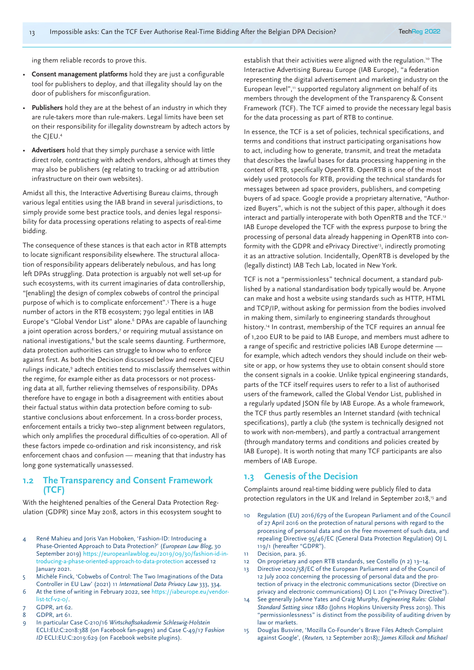ing them reliable records to prove this.

- **Consent management platforms** hold they are just a configurable tool for publishers to deploy, and that illegality should lay on the door of publishers for misconfiguration.
- **Publishers** hold they are at the behest of an industry in which they are rule-takers more than rule-makers. Legal limits have been set on their responsibility for illegality downstream by adtech actors by the CIEU.<sup>4</sup>
- **Advertisers** hold that they simply purchase a service with little direct role, contracting with adtech vendors, although at times they may also be publishers (eg relating to tracking or ad attribution infrastructure on their own websites).

Amidst all this, the Interactive Advertising Bureau claims, through various legal entities using the IAB brand in several jurisdictions, to simply provide some best practice tools, and denies legal responsibility for data processing operations relating to aspects of real-time bidding.

The consequence of these stances is that each actor in RTB attempts to locate significant responsibility elsewhere. The structural allocation of responsibility appears deliberately nebulous, and has long left DPAs struggling. Data protection is arguably not well set-up for such ecosystems, with its current imaginaries of data controllership, "[enabling] the design of complex cobwebs of control the principal purpose of which is to complicate enforcement".5 There is a huge number of actors in the RTB ecosystem; 790 legal entities in IAB Europe's "Global Vendor List" alone.<sup>6</sup> DPAs are capable of launching a joint operation across borders,<sup>7</sup> or requiring mutual assistance on national investigations,<sup>8</sup> but the scale seems daunting. Furthermore, data protection authorities can struggle to know who to enforce against first. As both the Decision discussed below and recent CJEU rulings indicate,<sup>9</sup> adtech entities tend to misclassify themselves within the regime, for example either as data processors or not processing data at all, further relieving themselves of responsibility. DPAs therefore have to engage in both a disagreement with entities about their factual status within data protection before coming to substantive conclusions about enforcement. In a cross-border process, enforcement entails a tricky two–step alignment between regulators, which only amplifies the procedural difficulties of co-operation. All of these factors impede co-ordination and risk inconsistency, and risk enforcement chaos and confusion — meaning that that industry has long gone systematically unassessed.

#### **1.2 The Transparency and Consent Framework (TCF)**

With the heightened penalties of the General Data Protection Regulation (GDPR) since May 2018, actors in this ecosystem sought to

- 4 René Mahieu and Joris Van Hoboken, 'Fashion-ID: Introducing a Phase-Oriented Approach to Data Protection?' (*European Law Blog*, 30 September 2019) https://europeanlawblog.eu/2019/09/30/fashion-id-introducing-a-phase-oriented-approach-to-data-protection accessed 12 January 2021.
- 5 Michèle Finck, 'Cobwebs of Control: The Two Imaginations of the Data Controller in EU Law' (2021) 11 *International Data Privacy Law* 333, 334.
- 6 At the time of writing in February 2022, see https://iabeurope.eu/vendor $list-tcf-v2-0/$ .
- GDPR, art 62.
- 8 GDPR, art 61.
- 9 In particular Case C-210/16 *Wirtschaftsakademie Schleswig-Holstein* ECLI:EU:C:2018:388 (on Facebook fan-pages) and Case C-49/17 F*ashion ID* ECLI:EU:C:2019:629 (on Facebook website plugins).

establish that their activities were aligned with the regulation.<sup>10</sup> The Interactive Advertising Bureau Europe (IAB Europe), "a federation representing the digital advertisement and marketing industry on the European level",<sup>11</sup> supported regulatory alignment on behalf of its members through the development of the Transparency & Consent Framework (TCF). The TCF aimed to provide the necessary legal basis for the data processing as part of RTB to continue.

In essence, the TCF is a set of policies, technical specifications, and terms and conditions that instruct participating organisations how to act, including how to generate, transmit, and treat the metadata that describes the lawful bases for data processing happening in the context of RTB, specifically OpenRTB. OpenRTB is one of the most widely used protocols for RTB, providing the technical standards for messages between ad space providers, publishers, and competing buyers of ad space. Google provide a proprietary alternative, "Authorized Buyers", which is not the subject of this paper, although it does interact and partially interoperate with both OpenRTB and the TCF.<sup>12</sup> IAB Europe developed the TCF with the express purpose to bring the processing of personal data already happening in OpenRTB into conformity with the GDPR and ePrivacy Directive<sup>13</sup>, indirectly promoting it as an attractive solution. Incidentally, OpenRTB is developed by the (legally distinct) IAB Tech Lab, located in New York.

TCF is not a "permissionless" technical document, a standard published by a national standardisation body typically would be. Anyone can make and host a website using standards such as HTTP, HTML and TCP/IP, without asking for permission from the bodies involved in making them, similarly to engineering standards throughout history.<sup>14</sup> In contrast, membership of the TCF requires an annual fee of 1,200 EUR to be paid to IAB Europe, and members must adhere to a range of specific and restrictive policies IAB Europe determine for example, which adtech vendors they should include on their website or app, or how systems they use to obtain consent should store the consent signals in a cookie. Unlike typical engineering standards, parts of the TCF itself requires users to refer to a list of authorised users of the framework, called the Global Vendor List, published in a regularly updated JSON file by IAB Europe. As a whole framework, the TCF thus partly resembles an Internet standard (with technical specifications), partly a club (the system is technically designed not to work with non-members), and partly a contractual arrangement (through mandatory terms and conditions and policies created by IAB Europe). It is worth noting that many TCF participants are also members of IAB Europe.

#### **1.3 Genesis of the Decision**

Complaints around real-time bidding were publicly filed to data protection regulators in the UK and Ireland in September 2018,<sup>15</sup> and

- Regulation (EU) 2016/679 of the European Parliament and of the Council of 27 April 2016 on the protection of natural persons with regard to the processing of personal data and on the free movement of such data, and repealing Directive 95/46/EC (General Data Protection Regulation) OJ L 119/1 (hereafter "GDPR").
- 11 Decision, para. 36.
- 12 On proprietary and open RTB standards, see Costello (n 2) 13–14.
- 13 Directive 2002/58/EC of the European Parliament and of the Council of 12 July 2002 concerning the processing of personal data and the protection of privacy in the electronic communications sector (Directive on privacy and electronic communications) OJ L 201 ("e-Privacy Directive").
- 14 See generally JoAnne Yates and Craig Murphy, *Engineering Rules: Global Standard Setting since 1880* (Johns Hopkins University Press 2019). This "permissionlessness" is distinct from the possibility of auditing driven by law or markets.
- 15 Douglas Busvine, 'Mozilla Co-Founder's Brave Files Adtech Complaint against Google', (*Reuters,* 12 September 2018); *James Killock and Michael*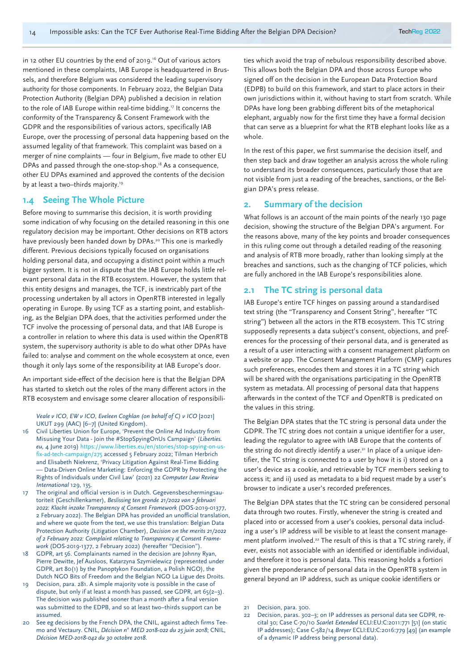in 12 other EU countries by the end of 2019.<sup>16</sup> Out of various actors mentioned in these complaints, IAB Europe is headquartered in Brussels, and therefore Belgium was considered the leading supervisory authority for those components. In February 2022, the Belgian Data Protection Authority (Belgian DPA) published a decision in relation to the role of IAB Europe within real-time bidding.17 It concerns the conformity of the Transparency & Consent Framework with the GDPR and the responsibilities of various actors, specifically IAB Europe, over the processing of personal data happening based on the assumed legality of that framework. This complaint was based on a merger of nine complaints — four in Belgium, five made to other EU DPAs and passed through the one-stop-shop.<sup>18</sup> As a consequence, other EU DPAs examined and approved the contents of the decision by at least a two-thirds majority.<sup>19</sup>

#### **1.4 Seeing The Whole Picture**

Before moving to summarise this decision, it is worth providing some indication of why focusing on the detailed reasoning in this one regulatory decision may be important. Other decisions on RTB actors have previously been handed down by DPAs.<sup>20</sup> This one is markedly different. Previous decisions typically focused on organisations holding personal data, and occupying a distinct point within a much bigger system. It is not in dispute that the IAB Europe holds little relevant personal data in the RTB ecosystem. However, the system that this entity designs and manages, the TCF, is inextricably part of the processing undertaken by all actors in OpenRTB interested in legally operating in Europe. By using TCF as a starting point, and establishing, as the Belgian DPA does, that the activities performed under the TCF involve the processing of personal data, and that IAB Europe is a controller in relation to where this data is used within the OpenRTB system, the supervisory authority is able to do what other DPAs have failed to: analyse and comment on the whole ecosystem at once, even though it only lays some of the responsibility at IAB Europe's door.

An important side-effect of the decision here is that the Belgian DPA has started to sketch out the roles of the many different actors in the RTB ecosystem and envisage some clearer allocation of responsibili-

*Veale v ICO*, *EW v ICO*, *Eveleen Coghlan (on behalf of C) v ICO* [2021] UKUT 299 (AAC) [6–7] (United Kingdom).

- 16 Civil Liberties Union for Europe, 'Prevent the Online Ad Industry from Misusing Your Data - Join the #StopSpyingOnUs Campaign' (*Liberties. eu,* 4 June 2019) https://www.liberties.eu/en/stories/stop-spying-on-usfix-ad-tech-campaign/275 accessed 5 February 2022; Tilman Herbrich and Elisabeth Niekrenz, 'Privacy Litigation Against Real-Time Bidding — Data-Driven Online Marketing: Enforcing the GDPR by Protecting the Rights of Individuals under Civil Law' (2021) 22 *Computer Law Review International* 129, 135.
- 17 The original and official version is in Dutch. Gegevensbeschermingsautoriteit (Geschillenkamer), *Beslissing ten gronde 21/2022 van 2 februari 2022: Klacht inzake Transparency & Consent Framework* (DOS-2019-01377, 2 February 2022). The Belgian DPA has provided an unofficial translation, and where we quote from the text, we use this translation: Belgian Data Protection Authority (Litigation Chamber), *Decision on the merits 21/2022 of 2 February 2022: Complaint relating to Transparency & Consent Framework* (DOS-2019-1377, 2 February 2022) (hereafter "Decision").
- 18 GDPR, art 56. Complainants named in the decision are Johnny Ryan, Pierre Dewitte, Jef Ausloos, Katarzyna Szymielewicz (represented under GDPR, art 80(1) by the Panoptykon Foundation, a Polish NGO), the Dutch NGO Bits of Freedom and the Belgian NGO La Ligue des Droits.
- Decision, para. 281. A simple majority vote is possible in the case of dispute, but only if at least a month has passed, see GDPR, art 65(2–3). The decision was published sooner than a month after a final version was submitted to the EDPB, and so at least two–thirds support can be assumed.
- 20 See eg decisions by the French DPA, the CNIL, against adtech firms Teemo and Vectaury. CNIL, *Décision n° MED 2018-022 du 25 juin 2018*; CNIL, *Décision MED-2018-042 du 30 octobre 2018*.

ties which avoid the trap of nebulous responsibility described above. This allows both the Belgian DPA and those across Europe who signed off on the decision in the European Data Protection Board (EDPB) to build on this framework, and start to place actors in their own jurisdictions within it, without having to start from scratch. While DPAs have long been grabbing different bits of the metaphorical elephant, arguably now for the first time they have a formal decision that can serve as a blueprint for what the RTB elephant looks like as a whole.

In the rest of this paper, we first summarise the decision itself, and then step back and draw together an analysis across the whole ruling to understand its broader consequences, particularly those that are not visible from just a reading of the breaches, sanctions, or the Belgian DPA's press release.

#### **2. Summary of the decision**

What follows is an account of the main points of the nearly 130 page decision, showing the structure of the Belgian DPA's argument. For the reasons above, many of the key points and broader consequences in this ruling come out through a detailed reading of the reasoning and analysis of RTB more broadly, rather than looking simply at the breaches and sanctions, such as the changing of TCF policies, which are fully anchored in the IAB Europe's responsibilities alone.

#### **2.1 The TC string is personal data**

IAB Europe's entire TCF hinges on passing around a standardised text string (the "Transparency and Consent String", hereafter "TC string") between all the actors in the RTB ecosystem. This TC string supposedly represents a data subject's consent, objections, and preferences for the processing of their personal data, and is generated as a result of a user interacting with a consent management platform on a website or app. The Consent Management Platform (CMP) captures such preferences, encodes them and stores it in a TC string which will be shared with the organisations participating in the OpenRTB system as metadata. All processing of personal data that happens afterwards in the context of the TCF and OpenRTB is predicated on the values in this string.

The Belgian DPA states that the TC string is personal data under the GDPR. The TC string does not contain a unique identifier for a user, leading the regulator to agree with IAB Europe that the contents of the string do not directly identify a user.<sup>21</sup> In place of a unique identifier, the TC string is connected to a user by how it is i) stored on a user's device as a cookie, and retrievable by TCF members seeking to access it; and ii) used as metadata to a bid request made by a user's browser to indicate a user's recorded preferences.

The Belgian DPA states that the TC string can be considered personal data through two routes. Firstly, whenever the string is created and placed into or accessed from a user's cookies, personal data including a user's IP address will be visible to at least the consent management platform involved.<sup>22</sup> The result of this is that a TC string rarely, if ever, exists not associable with an identified or identifiable individual, and therefore it too is personal data. This reasoning holds a fortiori given the preponderance of personal data in the OpenRTB system in general beyond an IP address, such as unique cookie identifiers or

21 Decision, para. 300.

<sup>22</sup> Decision, paras. 302–3; on IP addresses as personal data see GDPR, recital 30; Case C-70/10 *Scarlet Extended* ECLI:EU:C:2011:771 [51] (on static IP addresses); Case C-582/14 *Breyer* ECLI:EU:C:2016:779 [49] (an example of a dynamic IP address being personal data).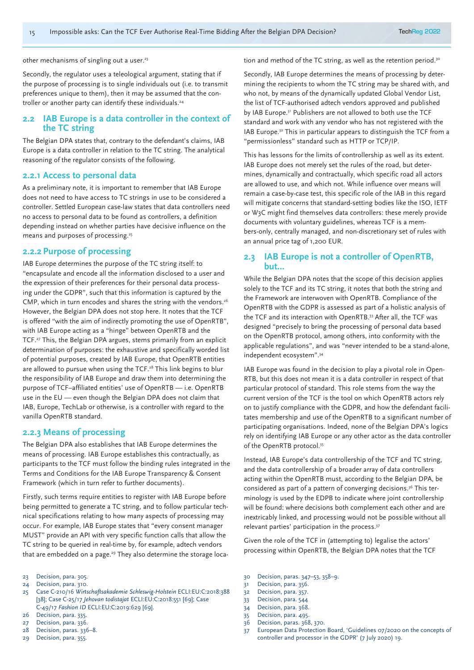other mechanisms of singling out a user.<sup>23</sup>

Secondly, the regulator uses a teleological argument, stating that if the purpose of processing is to single individuals out (i.e. to transmit preferences unique to them), then it may be assumed that the controller or another party can identify these individuals.<sup>24</sup>

#### **2.2 IAB Europe is a data controller in the context of the TC string**

The Belgian DPA states that, contrary to the defendant's claims, IAB Europe is a data controller in relation to the TC string. The analytical reasoning of the regulator consists of the following.

#### **2.2.1 Access to personal data**

As a preliminary note, it is important to remember that IAB Europe does not need to have access to TC strings in use to be considered a controller. Settled European case-law states that data controllers need no access to personal data to be found as controllers, a definition depending instead on whether parties have decisive influence on the means and purposes of processing.<sup>25</sup>

#### **2.2.2 Purpose of processing**

IAB Europe determines the purpose of the TC string itself: to "encapsulate and encode all the information disclosed to a user and the expression of their preferences for their personal data processing under the GDPR", such that this information is captured by the CMP, which in turn encodes and shares the string with the vendors.<sup>26</sup> However, the Belgian DPA does not stop here. It notes that the TCF is offered "with the aim of indirectly promoting the use of OpenRTB", with IAB Europe acting as a "hinge" between OpenRTB and the TCF.<sup>27</sup> This, the Belgian DPA argues, stems primarily from an explicit determination of purposes: the exhaustive and specifically worded list of potential purposes, created by IAB Europe, that OpenRTB entities are allowed to pursue when using the TCF.<sup>28</sup> This link begins to blur the responsibility of IAB Europe and draw them into determining the purpose of TCF–affiliated entities' use of OpenRTB — i.e. OpenRTB use in the EU — even though the Belgian DPA does not claim that IAB, Europe, TechLab or otherwise, is a controller with regard to the vanilla OpenRTB standard.

#### **2.2.3 Means of processing**

The Belgian DPA also establishes that IAB Europe determines the means of processing. IAB Europe establishes this contractually, as participants to the TCF must follow the binding rules integrated in the Terms and Conditions for the IAB Europe Transparency & Consent Framework (which in turn refer to further documents).

Firstly, such terms require entities to register with IAB Europe before being permitted to generate a TC string, and to follow particular technical specifications relating to how many aspects of processing may occur. For example, IAB Europe states that "every consent manager MUST" provide an API with very specific function calls that allow the TC string to be queried in real-time by, for example, adtech vendors that are embedded on a page.<sup>29</sup> They also determine the storage loca-

- 25 Case C-210/16 *Wirtschaftsakademie Schleswig-Holstein* ECLI:EU:C:2018:388 [38]; Case C-25/17 *Jehovan todistajat* ECLI:EU:C:2018:551 [69]; Case C-49/17 *Fashion ID* ECLI:EU:C:2019:629 [69].
- 26 Decision, para. 335.
- 27 Decision, para. 336.
- 28 Decision, paras. 336–8.
- 29 Decision, para. 355.

tion and method of the TC string, as well as the retention period.<sup>30</sup>

Secondly, IAB Europe determines the means of processing by determining the recipients to whom the TC string may be shared with, and who not, by means of the dynamically updated Global Vendor List, the list of TCF-authorised adtech vendors approved and published by IAB Europe.31 Publishers are not allowed to both use the TCF standard and work with any vendor who has not registered with the IAB Europe.32 This in particular appears to distinguish the TCF from a "permissionless" standard such as HTTP or TCP/IP.

This has lessons for the limits of controllership as well as its extent. IAB Europe does not merely set the rules of the road, but determines, dynamically and contractually, which specific road all actors are allowed to use, and which not. While influence over means will remain a case-by-case test, this specific role of the IAB in this regard will mitigate concerns that standard-setting bodies like the ISO, IETF or W3C might find themselves data controllers: these merely provide documents with voluntary guidelines, whereas TCF is a members-only, centrally managed, and non-discretionary set of rules with an annual price tag of 1,200 EUR.

#### **2.3 IAB Europe is not a controller of OpenRTB, but…**

While the Belgian DPA notes that the scope of this decision applies solely to the TCF and its TC string, it notes that both the string and the Framework are interwoven with OpenRTB. Compliance of the OpenRTB with the GDPR is assessed as part of a holistic analysis of the TCF and its interaction with OpenRTB.33 After all, the TCF was designed "precisely to bring the processing of personal data based on the OpenRTB protocol, among others, into conformity with the applicable regulations", and was "never intended to be a stand-alone, independent ecosystem".34

IAB Europe was found in the decision to play a pivotal role in Open-RTB, but this does not mean it is a data controller in respect of that particular protocol of standard. This role stems from the way the current version of the TCF is the tool on which OpenRTB actors rely on to justify compliance with the GDPR, and how the defendant facilitates membership and use of the OpenRTB to a significant number of participating organisations. Indeed, none of the Belgian DPA's logics rely on identifying IAB Europe or any other actor as the data controller of the OpenRTB protocol.<sup>35</sup>

Instead, IAB Europe's data controllership of the TCF and TC string, and the data controllership of a broader array of data controllers acting within the OpenRTB must, according to the Belgian DPA, be considered as part of a pattern of converging decisions.36 This terminology is used by the EDPB to indicate where joint controllership will be found: where decisions both complement each other and are inextricably linked, and processing would not be possible without all relevant parties' participation in the process.<sup>37</sup>

Given the role of the TCF in (attempting to) legalise the actors' processing within OpenRTB, the Belgian DPA notes that the TCF

30 Decision, paras. 347–53, 358–9.

- 32 Decision, para. 357.
- 33 Decision, para. 544
- 34 Decision, para. 368.
- 35 Decision, para. 495.
- 36 Decision, paras. 368, 370.
- 37 European Data Protection Board, 'Guidelines 07/2020 on the concepts of controller and processor in the GDPR' (7 July 2020) 19.

<sup>23</sup> Decision, para. 305.

<sup>24</sup> Decision, para. 310.

<sup>31</sup> Decision, para. 356.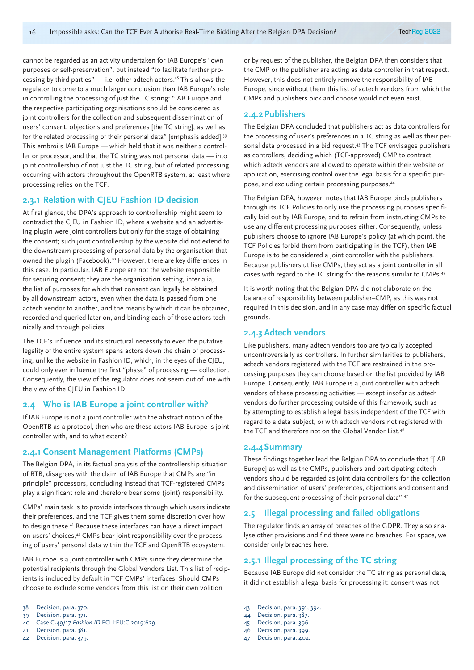cannot be regarded as an activity undertaken for IAB Europe's "own purposes or self-preservation", but instead "to facilitate further processing by third parties"  $-$  i.e. other adtech actors.<sup>38</sup> This allows the regulator to come to a much larger conclusion than IAB Europe's role in controlling the processing of just the TC string: "IAB Europe and the respective participating organisations should be considered as joint controllers for the collection and subsequent dissemination of users' consent, objections and preferences [the TC string], as well as for the related processing of their personal data" [emphasis added].39 This embroils IAB Europe — which held that it was neither a controller or processor, and that the TC string was not personal data — into joint controllership of not just the TC string, but of related processing occurring with actors throughout the OpenRTB system, at least where processing relies on the TCF.

#### **2.3.1 Relation with CJEU Fashion ID decision**

At first glance, the DPA's approach to controllership might seem to contradict the CJEU in Fashion ID, where a website and an advertising plugin were joint controllers but only for the stage of obtaining the consent; such joint controllership by the website did not extend to the downstream processing of personal data by the organisation that owned the plugin (Facebook).40 However, there are key differences in this case. In particular, IAB Europe are not the website responsible for securing consent; they are the organisation setting, inter alia, the list of purposes for which that consent can legally be obtained by all downstream actors, even when the data is passed from one adtech vendor to another, and the means by which it can be obtained, recorded and queried later on, and binding each of those actors technically and through policies.

The TCF's influence and its structural necessity to even the putative legality of the entire system spans actors down the chain of processing, unlike the website in Fashion ID, which, in the eyes of the CJEU, could only ever influence the first "phase" of processing — collection. Consequently, the view of the regulator does not seem out of line with the view of the CJEU in Fashion ID.

#### **2.4 Who is IAB Europe a joint controller with?**

If IAB Europe is not a joint controller with the abstract notion of the OpenRTB as a protocol, then who are these actors IAB Europe is joint controller with, and to what extent?

#### **2.4.1 Consent Management Platforms (CMPs)**

The Belgian DPA, in its factual analysis of the controllership situation of RTB, disagrees with the claim of IAB Europe that CMPs are "in principle" processors, concluding instead that TCF-registered CMPs play a significant role and therefore bear some (joint) responsibility.

CMPs' main task is to provide interfaces through which users indicate their preferences, and the TCF gives them some discretion over how to design these.41 Because these interfaces can have a direct impact on users' choices,<sup>42</sup> CMPs bear joint responsibility over the processing of users' personal data within the TCF and OpenRTB ecosystem.

IAB Europe is a joint controller with CMPs since they determine the potential recipients through the Global Vendors List. This list of recipients is included by default in TCF CMPs' interfaces. Should CMPs choose to exclude some vendors from this list on their own volition

- 39 Decision, para. 371.
- 40 Case C-49/17 *Fashion ID* ECLI:EU:C:2019:629.
- 41 Decision, para. 381.
- 42 Decision, para. 379.

or by request of the publisher, the Belgian DPA then considers that the CMP or the publisher are acting as data controller in that respect. However, this does not entirely remove the responsibility of IAB Europe, since without them this list of adtech vendors from which the CMPs and publishers pick and choose would not even exist.

#### **2.4.2Publishers**

The Belgian DPA concluded that publishers act as data controllers for the processing of user's preferences in a TC string as well as their personal data processed in a bid request.43 The TCF envisages publishers as controllers, deciding which (TCF-approved) CMP to contract, which adtech vendors are allowed to operate within their website or application, exercising control over the legal basis for a specific purpose, and excluding certain processing purposes.44

The Belgian DPA, however, notes that IAB Europe binds publishers through its TCF Policies to only use the processing purposes specifically laid out by IAB Europe, and to refrain from instructing CMPs to use any different processing purposes either. Consequently, unless publishers choose to ignore IAB Europe's policy (at which point, the TCF Policies forbid them from participating in the TCF), then IAB Europe is to be considered a joint controller with the publishers. Because publishers utilise CMPs, they act as a joint controller in all cases with regard to the TC string for the reasons similar to CMPs.45

It is worth noting that the Belgian DPA did not elaborate on the balance of responsibility between publisher–CMP, as this was not required in this decision, and in any case may differ on specific factual grounds.

#### **2.4.3 Adtech vendors**

Like publishers, many adtech vendors too are typically accepted uncontroversially as controllers. In further similarities to publishers, adtech vendors registered with the TCF are restrained in the processing purposes they can choose based on the list provided by IAB Europe. Consequently, IAB Europe is a joint controller with adtech vendors of these processing activities — except insofar as adtech vendors do further processing outside of this framework, such as by attempting to establish a legal basis independent of the TCF with regard to a data subject, or with adtech vendors not registered with the TCF and therefore not on the Global Vendor List.46

#### **2.4.4Summary**

These findings together lead the Belgian DPA to conclude that "[IAB Europe] as well as the CMPs, publishers and participating adtech vendors should be regarded as joint data controllers for the collection and dissemination of users' preferences, objections and consent and for the subsequent processing of their personal data".47

#### **2.5 Illegal processing and failed obligations**

The regulator finds an array of breaches of the GDPR. They also analyse other provisions and find there were no breaches. For space, we consider only breaches here.

#### **2.5.1 Illegal processing of the TC string**

Because IAB Europe did not consider the TC string as personal data, it did not establish a legal basis for processing it: consent was not

- 43 Decision, para. 391, 394.
- 44 Decision, para. 387.
- 45 Decision, para. 396.
- 46 Decision, para. 399.
- 47 Decision, para. 402.

<sup>38</sup> Decision, para. 370.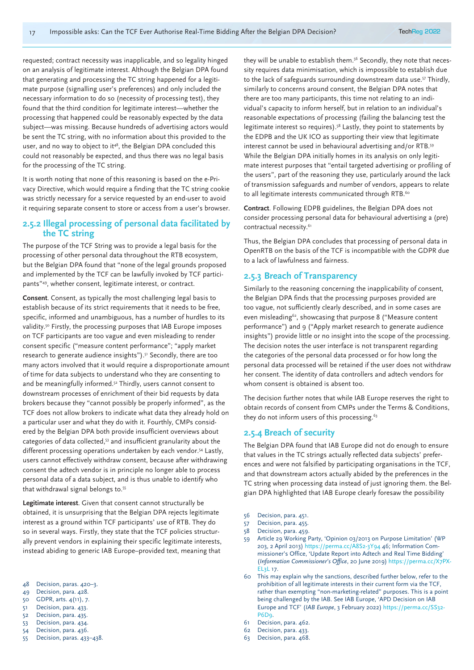requested; contract necessity was inapplicable, and so legality hinged on an analysis of legitimate interest. Although the Belgian DPA found that generating and processing the TC string happened for a legitimate purpose (signalling user's preferences) and only included the necessary information to do so (necessity of processing test), they found that the third condition for legitimate interest—whether the processing that happened could be reasonably expected by the data subject—was missing. Because hundreds of advertising actors would be sent the TC string, with no information about this provided to the user, and no way to object to it<sup>48</sup>, the Belgian DPA concluded this could not reasonably be expected, and thus there was no legal basis for the processing of the TC string.

It is worth noting that none of this reasoning is based on the e-Privacy Directive, which would require a finding that the TC string cookie was strictly necessary for a service requested by an end-user to avoid it requiring separate consent to store or access from a user's browser.

#### **2.5.2 Illegal processing of personal data facilitated by the TC string**

The purpose of the TCF String was to provide a legal basis for the processing of other personal data throughout the RTB ecosystem, but the Belgian DPA found that "none of the legal grounds proposed and implemented by the TCF can be lawfully invoked by TCF participants"49, whether consent, legitimate interest, or contract.

**Consent**. Consent, as typically the most challenging legal basis to establish because of its strict requirements that it needs to be free, specific, informed and unambiguous, has a number of hurdles to its validity.50 Firstly, the processing purposes that IAB Europe imposes on TCF participants are too vague and even misleading to render consent specific ("measure content performance"; "apply market research to generate audience insights").<sup>51</sup> Secondly, there are too many actors involved that it would require a disproportionate amount of time for data subjects to understand who they are consenting to and be meaningfully informed.<sup>52</sup> Thirdly, users cannot consent to downstream processes of enrichment of their bid requests by data brokers because they "cannot possibly be properly informed", as the TCF does not allow brokers to indicate what data they already hold on a particular user and what they do with it. Fourthly, CMPs considered by the Belgian DPA both provide insufficient overviews about categories of data collected,53 and insufficient granularity about the different processing operations undertaken by each vendor.<sup>54</sup> Lastly, users cannot effectively withdraw consent, because after withdrawing consent the adtech vendor is in principle no longer able to process personal data of a data subject, and is thus unable to identify who that withdrawal signal belongs to.55

**Legitimate interest**. Given that consent cannot structurally be obtained, it is unsurprising that the Belgian DPA rejects legitimate interest as a ground within TCF participants' use of RTB. They do so in several ways. Firstly, they state that the TCF policies structurally prevent vendors in explaining their specific legitimate interests, instead abiding to generic IAB Europe–provided text, meaning that

- 48 Decision, paras. 420–3.
- 49 Decision, para. 428.
- 50 GDPR, arts. 4(11), 7.
- 51 Decision, para. 433.
- 52 Decision, para. 435.
- 53 Decision, para. 434.
- 54 Decision, para. 436.
- 55 Decision, paras. 433–438.

they will be unable to establish them.<sup>56</sup> Secondly, they note that necessity requires data minimisation, which is impossible to establish due to the lack of safeguards surrounding downstream data use.<sup>57</sup> Thirdly, similarly to concerns around consent, the Belgian DPA notes that there are too many participants, this time not relating to an individual's capacity to inform herself, but in relation to an individual's reasonable expectations of processing (failing the balancing test the legitimate interest so requires).<sup>58</sup> Lastly, they point to statements by the EDPB and the UK ICO as supporting their view that legitimate interest cannot be used in behavioural advertising and/or RTB.59 While the Belgian DPA initially homes in its analysis on only legitimate interest purposes that "entail targeted advertising or profiling of the users", part of the reasoning they use, particularly around the lack of transmission safeguards and number of vendors, appears to relate to all legitimate interests communicated through RTB.<sup>60</sup>

**Contract**. Following EDPB guidelines, the Belgian DPA does not consider processing personal data for behavioural advertising a (pre) contractual necessity.<sup>61</sup>

Thus, the Belgian DPA concludes that processing of personal data in OpenRTB on the basis of the TCF is incompatible with the GDPR due to a lack of lawfulness and fairness.

#### **2.5.3 Breach of Transparency**

Similarly to the reasoning concerning the inapplicability of consent, the Belgian DPA finds that the processing purposes provided are too vague, not sufficiently clearly described, and in some cases are even misleading<sup>62</sup>, showcasing that purpose 8 ("Measure content performance") and 9 ("Apply market research to generate audience insights") provide little or no insight into the scope of the processing. The decision notes the user interface is not transparent regarding the categories of the personal data processed or for how long the personal data processed will be retained if the user does not withdraw her consent. The identity of data controllers and adtech vendors for whom consent is obtained is absent too.

The decision further notes that while IAB Europe reserves the right to obtain records of consent from CMPs under the Terms & Conditions, they do not inform users of this processing.<sup>63</sup>

#### **2.5.4 Breach of security**

The Belgian DPA found that IAB Europe did not do enough to ensure that values in the TC strings actually reflected data subjects' preferences and were not falsified by participating organisations in the TCF, and that downstream actors actually abided by the preferences in the TC string when processing data instead of just ignoring them. the Belgian DPA highlighted that IAB Europe clearly foresaw the possibility

- 56 Decision, para. 451.
- 57 Decision, para. 455.
- 58 Decision, para. 459.
- 59 Article 29 Working Party, 'Opinion 03/2013 on Purpose Limitation' (WP 203, 2 April 2013) https://perma.cc/A8S2-3Y94 46; Information Commissioner's Office, 'Update Report into Adtech and Real Time Bidding' (*Information Commissioner's Office*, 20 June 2019) https://perma.cc/X7PX-EL3L 17.
- 60 This may explain why the sanctions, described further below, refer to the prohibition of all legitimate interests in their current form via the TCF, rather than exempting "non-marketing-related" purposes. This is a point being challenged by the IAB. See IAB Europe, 'APD Decision on IAB Europe and TCF' (*IAB Europe*, 3 February 2022) https://perma.cc/SS32- P<sub>6D</sub><sub>9</sub>.
- 61 Decision, para. 462.
- 62 Decision, para. 433.
- 63 Decision, para. 468.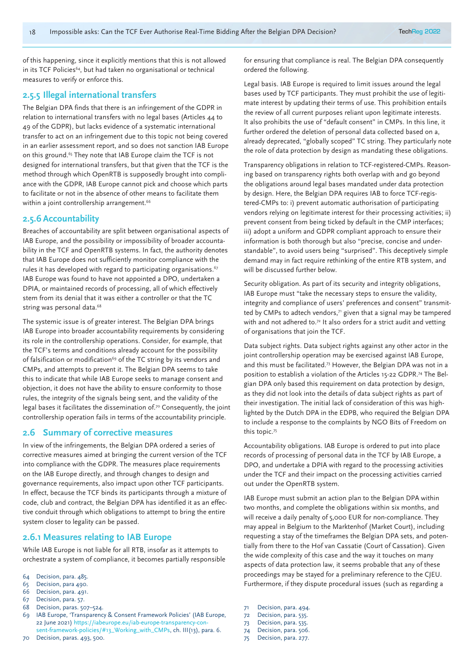of this happening, since it explicitly mentions that this is not allowed in its TCF Policies<sup>64</sup>, but had taken no organisational or technical measures to verify or enforce this.

#### **2.5.5 Illegal international transfers**

The Belgian DPA finds that there is an infringement of the GDPR in relation to international transfers with no legal bases (Articles 44 to 49 of the GDPR), but lacks evidence of a systematic international transfer to act on an infringement due to this topic not being covered in an earlier assessment report, and so does not sanction IAB Europe on this ground.<sup>65</sup> They note that IAB Europe claim the TCF is not designed for international transfers, but that given that the TCF is the method through which OpenRTB is supposedly brought into compliance with the GDPR, IAB Europe cannot pick and choose which parts to facilitate or not in the absence of other means to facilitate them within a joint controllership arrangement.<sup>66</sup>

#### **2.5.6 Accountability**

Breaches of accountability are split between organisational aspects of IAB Europe, and the possibility or impossibility of broader accountability in the TCF and OpenRTB systems. In fact, the authority denotes that IAB Europe does not sufficiently monitor compliance with the rules it has developed with regard to participating organisations. $67$ IAB Europe was found to have not appointed a DPO, undertaken a DPIA, or maintained records of processing, all of which effectively stem from its denial that it was either a controller or that the TC string was personal data.<sup>68</sup>

The systemic issue is of greater interest. The Belgian DPA brings IAB Europe into broader accountability requirements by considering its role in the controllership operations. Consider, for example, that the TCF's terms and conditions already account for the possibility of falsification or modification<sup>69</sup> of the TC string by its vendors and CMPs, and attempts to prevent it. The Belgian DPA seems to take this to indicate that while IAB Europe seeks to manage consent and objection, it does not have the ability to ensure conformity to those rules, the integrity of the signals being sent, and the validity of the legal bases it facilitates the dissemination of.<sup>70</sup> Consequently, the joint controllership operation fails in terms of the accountability principle.

#### **2.6 Summary of corrective measures**

In view of the infringements, the Belgian DPA ordered a series of corrective measures aimed at bringing the current version of the TCF into compliance with the GDPR. The measures place requirements on the IAB Europe directly, and through changes to design and governance requirements, also impact upon other TCF participants. In effect, because the TCF binds its participants through a mixture of code, club and contract, the Belgian DPA has identified it as an effective conduit through which obligations to attempt to bring the entire system closer to legality can be passed.

#### **2.6.1 Measures relating to IAB Europe**

While IAB Europe is not liable for all RTB, insofar as it attempts to orchestrate a system of compliance, it becomes partially responsible

- 64 Decision, para. 485.
- 65 Decision, para 490.
- 66 Decision, para. 491.
- 67 Decision, para. 57. 68 Decision, paras. 507–524.
- 69 IAB Europe, 'Transparency & Consent Framework Policies' (IAB Europe, 22 June 2021) https://iabeurope.eu/iab-europe-transparency-con-
- sent-framework-policies/#13\_Working\_with\_CMPs, ch. III(13), para. 6. 70 Decision, paras. 493, 500.

for ensuring that compliance is real. The Belgian DPA consequently ordered the following.

Legal basis. IAB Europe is required to limit issues around the legal bases used by TCF participants. They must prohibit the use of legitimate interest by updating their terms of use. This prohibition entails the review of all current purposes reliant upon legitimate interests. It also prohibits the use of "default consent" in CMPs. In this line, it further ordered the deletion of personal data collected based on a, already deprecated, "globally scoped" TC string. They particularly note the role of data protection by design as mandating these obligations.

Transparency obligations in relation to TCF-registered-CMPs. Reasoning based on transparency rights both overlap with and go beyond the obligations around legal bases mandated under data protection by design. Here, the Belgian DPA requires IAB to force TCF-registered-CMPs to: i) prevent automatic authorisation of participating vendors relying on legitimate interest for their processing activities; ii) prevent consent from being ticked by default in the CMP interfaces; iii) adopt a uniform and GDPR compliant approach to ensure their information is both thorough but also "precise, concise and understandable", to avoid users being "surprised". This deceptively simple demand may in fact require rethinking of the entire RTB system, and will be discussed further below.

Security obligation. As part of its security and integrity obligations, IAB Europe must "take the necessary steps to ensure the validity, integrity and compliance of users' preferences and consent" transmitted by CMPs to adtech vendors, $\eta$  given that a signal may be tampered with and not adhered to.<sup>72</sup> It also orders for a strict audit and vetting of organisations that join the TCF.

Data subject rights. Data subject rights against any other actor in the joint controllership operation may be exercised against IAB Europe, and this must be facilitated.73 However, the Belgian DPA was not in a position to establish a violation of the Articles 15-22 GDPR.74 The Belgian DPA only based this requirement on data protection by design, as they did not look into the details of data subject rights as part of their investigation. The initial lack of consideration of this was highlighted by the Dutch DPA in the EDPB, who required the Belgian DPA to include a response to the complaints by NGO Bits of Freedom on this topic.75

Accountability obligations. IAB Europe is ordered to put into place records of processing of personal data in the TCF by IAB Europe, a DPO, and undertake a DPIA with regard to the processing activities under the TCF and their impact on the processing activities carried out under the OpenRTB system.

IAB Europe must submit an action plan to the Belgian DPA within two months, and complete the obligations within six months, and will receive a daily penalty of 5,000 EUR for non-compliance. They may appeal in Belgium to the Marktenhof (Market Court), including requesting a stay of the timeframes the Belgian DPA sets, and potentially from there to the Hof van Cassatie (Court of Cassation). Given the wide complexity of this case and the way it touches on many aspects of data protection law, it seems probable that any of these proceedings may be stayed for a preliminary reference to the CJEU. Furthermore, if they dispute procedural issues (such as regarding a

- 71 Decision, para. 494.
- 72 Decision, para. 535.
- 73 Decision, para. 535.
- 74 Decision, para. 506.
- 75 Decision, para. 277.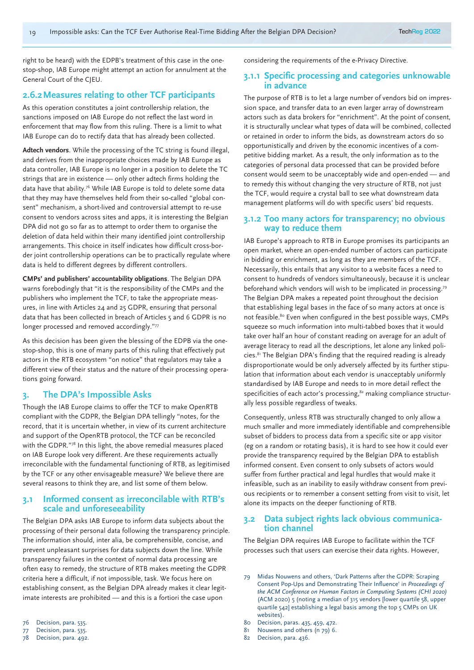right to be heard) with the EDPB's treatment of this case in the onestop-shop, IAB Europe might attempt an action for annulment at the General Court of the CJEU.

#### **2.6.2Measures relating to other TCF participants**

As this operation constitutes a joint controllership relation, the sanctions imposed on IAB Europe do not reflect the last word in enforcement that may flow from this ruling. There is a limit to what IAB Europe can do to rectify data that has already been collected.

**Adtech vendors**. While the processing of the TC string is found illegal, and derives from the inappropriate choices made by IAB Europe as data controller, IAB Europe is no longer in a position to delete the TC strings that are in existence — only other adtech firms holding the data have that ability.76 While IAB Europe is told to delete some data that they may have themselves held from their so-called "global consent" mechanism, a short-lived and controversial attempt to re-use consent to vendors across sites and apps, it is interesting the Belgian DPA did not go so far as to attempt to order them to organise the deletion of data held within their many identified joint controllership arrangements. This choice in itself indicates how difficult cross-border joint controllership operations can be to practically regulate where data is held to different degrees by different controllers.

**CMPs' and publishers' accountability obligations**. The Belgian DPA warns forebodingly that "it is the responsibility of the CMPs and the publishers who implement the TCF, to take the appropriate measures, in line with Articles 24 and 25 GDPR, ensuring that personal data that has been collected in breach of Articles 5 and 6 GDPR is no longer processed and removed accordingly."77

As this decision has been given the blessing of the EDPB via the onestop-shop, this is one of many parts of this ruling that effectively put actors in the RTB ecosystem "on notice" that regulators may take a different view of their status and the nature of their processing operations going forward.

#### **3. The DPA's Impossible Asks**

Though the IAB Europe claims to offer the TCF to make OpenRTB compliant with the GDPR, the Belgian DPA tellingly "notes, for the record, that it is uncertain whether, in view of its current architecture and support of the OpenRTB protocol, the TCF can be reconciled with the GDPR."78 In this light, the above remedial measures placed on IAB Europe look very different. Are these requirements actually irreconcilable with the fundamental functioning of RTB, as legitimised by the TCF or any other envisageable measure? We believe there are several reasons to think they are, and list some of them below.

#### **3.1 Informed consent as irreconcilable with RTB's scale and unforeseeability**

The Belgian DPA asks IAB Europe to inform data subjects about the processing of their personal data following the transparency principle. The information should, inter alia, be comprehensible, concise, and prevent unpleasant surprises for data subjects down the line. While transparency failures in the context of normal data processing are often easy to remedy, the structure of RTB makes meeting the GDPR criteria here a difficult, if not impossible, task. We focus here on establishing consent, as the Belgian DPA already makes it clear legitimate interests are prohibited — and this is a fortiori the case upon

considering the requirements of the e-Privacy Directive.

#### **3.1.1 Specific processing and categories unknowable in advance**

The purpose of RTB is to let a large number of vendors bid on impression space, and transfer data to an even larger array of downstream actors such as data brokers for "enrichment". At the point of consent, it is structurally unclear what types of data will be combined, collected or retained in order to inform the bids, as downstream actors do so opportunistically and driven by the economic incentives of a competitive bidding market. As a result, the only information as to the categories of personal data processed that can be provided before consent would seem to be unacceptably wide and open-ended — and to remedy this without changing the very structure of RTB, not just the TCF, would require a crystal ball to see what downstream data management platforms will do with specific users' bid requests.

#### **3.1.2 Too many actors for transparency; no obvious way to reduce them**

IAB Europe's approach to RTB in Europe promises its participants an open market, where an open-ended number of actors can participate in bidding or enrichment, as long as they are members of the TCF. Necessarily, this entails that any visitor to a website faces a need to consent to hundreds of vendors simultaneously, because it is unclear beforehand which vendors will wish to be implicated in processing.79 The Belgian DPA makes a repeated point throughout the decision that establishing legal bases in the face of so many actors at once is not feasible.<sup>80</sup> Even when configured in the best possible ways, CMPs squeeze so much information into multi-tabbed boxes that it would take over half an hour of constant reading on average for an adult of average literacy to read all the descriptions, let alone any linked policies.81 The Belgian DPA's finding that the required reading is already disproportionate would be only adversely affected by its further stipulation that information about each vendor is unacceptably uniformly standardised by IAB Europe and needs to in more detail reflect the specificities of each actor's processing,<sup>82</sup> making compliance structurally less possible regardless of tweaks.

Consequently, unless RTB was structurally changed to only allow a much smaller and more immediately identifiable and comprehensible subset of bidders to process data from a specific site or app visitor (eg on a random or rotating basis), it is hard to see how it could ever provide the transparency required by the Belgian DPA to establish informed consent. Even consent to only subsets of actors would suffer from further practical and legal hurdles that would make it infeasible, such as an inability to easily withdraw consent from previous recipients or to remember a consent setting from visit to visit, let alone its impacts on the deeper functioning of RTB.

## **3.2 Data subject rights lack obvious communica- tion channel**

The Belgian DPA requires IAB Europe to facilitate within the TCF processes such that users can exercise their data rights. However,

<sup>76</sup> Decision, para. 535.

<sup>77</sup> Decision, para. 535.

<sup>78</sup> Decision, para. 492.

<sup>79</sup> Midas Nouwens and others, 'Dark Patterns after the GDPR: Scraping Consent Pop-Ups and Demonstrating Their Influence' in *Proceedings of the ACM Conference on Human Factors in Computing Systems (CHI 2020)*  (ACM 2020) 5 (noting a median of 315 vendors [lower quartile 58, upper quartile 542] establishing a legal basis among the top 5 CMPs on UK websites).

<sup>80</sup> Decision, paras. 435, 459, 472.

<sup>81</sup> Nouwens and others (n 79) 6.

<sup>82</sup> Decision, para. 436.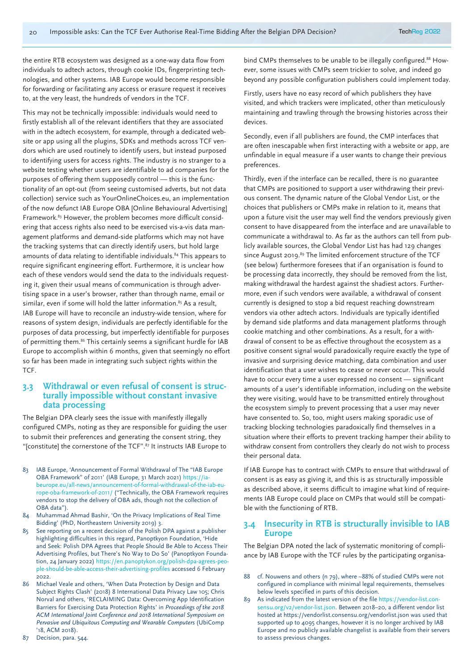the entire RTB ecosystem was designed as a one-way data flow from individuals to adtech actors, through cookie IDs, fingerprinting technologies, and other systems. IAB Europe would become responsible for forwarding or facilitating any access or erasure request it receives to, at the very least, the hundreds of vendors in the TCF.

This may not be technically impossible: individuals would need to firstly establish all of the relevant identifiers that they are associated with in the adtech ecosystem, for example, through a dedicated website or app using all the plugins, SDKs and methods across TCF vendors which are used routinely to identify users, but instead purposed to identifying users for access rights. The industry is no stranger to a website testing whether users are identifiable to ad companies for the purposes of offering them supposedly control — this is the functionality of an opt-out (from seeing customised adverts, but not data collection) service such as YourOnlineChoices.eu, an implementation of the now defunct IAB Europe OBA [Online Behavioural Advertising] Framework.<sup>83</sup> However, the problem becomes more difficult considering that access rights also need to be exercised vis-a-vis data management platforms and demand-side platforms which may not have the tracking systems that can directly identify users, but hold large amounts of data relating to identifiable individuals.<sup>84</sup> This appears to require significant engineering effort. Furthermore, it is unclear how each of these vendors would send the data to the individuals requesting it, given their usual means of communication is through advertising space in a user's browser, rather than through name, email or similar, even if some will hold the latter information.<sup>85</sup> As a result, IAB Europe will have to reconcile an industry-wide tension, where for reasons of system design, individuals are perfectly identifiable for the purposes of data processing, but imperfectly identifiable for purposes of permitting them.<sup>86</sup> This certainly seems a significant hurdle for IAB Europe to accomplish within 6 months, given that seemingly no effort so far has been made in integrating such subject rights within the TCF.

#### **3.3 Withdrawal or even refusal of consent is structurally impossible without constant invasive data processing**

The Belgian DPA clearly sees the issue with manifestly illegally configured CMPs, noting as they are responsible for guiding the user to submit their preferences and generating the consent string, they "[constitute] the cornerstone of the TCF".87 It instructs IAB Europe to

- 83 IAB Europe, 'Announcement of Formal Withdrawal of The "IAB Europe OBA Framework" of 2011' (IAB Europe, 31 March 2021) https://iabeurope.eu/all-news/announcement-of-formal-withdrawal-of-the-iab-europe-oba-framework-of-2011/ ("Technically, the OBA Framework requires vendors to stop the delivery of OBA ads, though not the collection of OBA data").
- 84 Muhammad Ahmad Bashir, 'On the Privacy Implications of Real Time Bidding' (PhD, Northeastern University 2019) 3.
- 85 See reporting on a recent decision of the Polish DPA against a publisher highlighting difficulties in this regard, Panoptkyon Foundation, 'Hide and Seek: Polish DPA Agrees that People Should Be Able to Access Their Advertising Profiles, but There's No Way to Do So' (Panoptkyon Foundation, 24 January 2022) https://en.panoptykon.org/polish-dpa-agrees-people-should-be-able-access-their-advertising-profiles accessed 6 February 2022.
- 86 Michael Veale and others, 'When Data Protection by Design and Data Subject Rights Clash' (2018) 8 International Data Privacy Law 105; Chris Norval and others, 'RECLAIMING Data: Overcoming App Identification Barriers for Exercising Data Protection Rights' in *Proceedings of the 2018 ACM International Joint Conference and 2018 International Symposium on Pervasive and Ubiquitous Computing and Wearable Computers* (UbiComp '18, ACM 2018).
- 87 Decision, para. 544.

bind CMPs themselves to be unable to be illegally configured.<sup>88</sup> However, some issues with CMPs seem trickier to solve, and indeed go beyond any possible configuration publishers could implement today.

Firstly, users have no easy record of which publishers they have visited, and which trackers were implicated, other than meticulously maintaining and trawling through the browsing histories across their devices.

Secondly, even if all publishers are found, the CMP interfaces that are often inescapable when first interacting with a website or app, are unfindable in equal measure if a user wants to change their previous preferences.

Thirdly, even if the interface can be recalled, there is no guarantee that CMPs are positioned to support a user withdrawing their previous consent. The dynamic nature of the Global Vendor List, or the choices that publishers or CMPs make in relation to it, means that upon a future visit the user may well find the vendors previously given consent to have disappeared from the interface and are unavailable to communicate a withdrawal to. As far as the authors can tell from publicly available sources, the Global Vendor List has had 129 changes since August 2019.<sup>89</sup> The limited enforcement structure of the TCF (see below) furthermore foresees that if an organisation is found to be processing data incorrectly, they should be removed from the list, making withdrawal the hardest against the shadiest actors. Furthermore, even if such vendors were available, a withdrawal of consent currently is designed to stop a bid request reaching downstream vendors via other adtech actors. Individuals are typically identified by demand side platforms and data management platforms through cookie matching and other combinations. As a result, for a withdrawal of consent to be as effective throughout the ecosystem as a positive consent signal would paradoxically require exactly the type of invasive and surprising device matching, data combination and user identification that a user wishes to cease or never occur. This would have to occur every time a user expressed no consent — significant amounts of a user's identifiable information, including on the website they were visiting, would have to be transmitted entirely throughout the ecosystem simply to prevent processing that a user may never have consented to. So, too, might users making sporadic use of tracking blocking technologies paradoxically find themselves in a situation where their efforts to prevent tracking hamper their ability to withdraw consent from controllers they clearly do not wish to process their personal data.

If IAB Europe has to contract with CMPs to ensure that withdrawal of consent is as easy as giving it, and this is as structurally impossible as described above, it seems difficult to imagine what kind of requirements IAB Europe could place on CMPs that would still be compatible with the functioning of RTB.

#### **3.4 Insecurity in RTB is structurally invisible to IAB Europe**

The Belgian DPA noted the lack of systematic monitoring of compliance by IAB Europe with the TCF rules by the participating organisa-

- 88 cf. Nouwens and others (n 79), where ~88% of studied CMPs were not configured in compliance with minimal legal requirements, themselves below levels specified in parts of this decision.
- 89 As indicated from the latest version of the file https://vendor-list.consensu.org/v2/vendor-list.json. Between 2018–20, a different vendor list hosted at https://vendorlist.consensu.org/vendorlist.json was used that supported up to 4095 changes, however it is no longer archived by IAB Europe and no publicly available changelist is available from their servers to assess previous changes.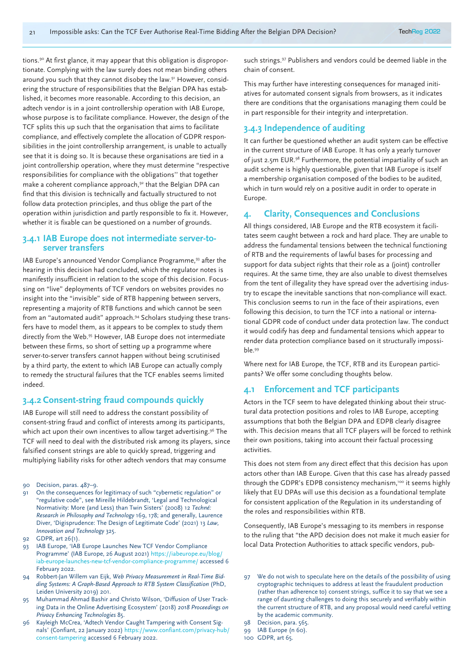tions.<sup>90</sup> At first glance, it may appear that this obligation is disproportionate. Complying with the law surely does not mean binding others around you such that they cannot disobey the law.<sup>91</sup> However, considering the structure of responsibilities that the Belgian DPA has established, it becomes more reasonable. According to this decision, an adtech vendor is in a joint controllership operation with IAB Europe, whose purpose is to facilitate compliance. However, the design of the TCF splits this up such that the organisation that aims to facilitate compliance, and effectively complete the allocation of GDPR responsibilities in the joint controllership arrangement, is unable to actually see that it is doing so. It is because these organisations are tied in a joint controllership operation, where they must determine "respective responsibilities for compliance with the obligations'' that together make a coherent compliance approach,<sup>92</sup> that the Belgian DPA can find that this division is technically and factually structured to not follow data protection principles, and thus oblige the part of the operation within jurisdiction and partly responsible to fix it. However, whether it is fixable can be questioned on a number of grounds.

#### **3.4.1 IAB Europe does not intermediate server-toserver transfers**

IAB Europe's announced Vendor Compliance Programme,93 after the hearing in this decision had concluded, which the regulator notes is manifestly insufficient in relation to the scope of this decision. Focussing on "live" deployments of TCF vendors on websites provides no insight into the "invisible" side of RTB happening between servers, representing a majority of RTB functions and which cannot be seen from an "automated audit" approach.<sup>94</sup> Scholars studying these transfers have to model them, as it appears to be complex to study them directly from the Web.95 However, IAB Europe does not intermediate between these firms, so short of setting up a programme where server-to-server transfers cannot happen without being scrutinised by a third party, the extent to which IAB Europe can actually comply to remedy the structural failures that the TCF enables seems limited indeed.

#### **3.4.2 Consent-string fraud compounds quickly**

IAB Europe will still need to address the constant possibility of consent-string fraud and conflict of interests among its participants, which act upon their own incentives to allow target advertising.<sup>96</sup> The TCF will need to deal with the distributed risk among its players, since falsified consent strings are able to quickly spread, triggering and multiplying liability risks for other adtech vendors that may consume

- 90 Decision, paras. 487–9.
- 91 On the consequences for legitimacy of such "cybernetic regulation" or "regulative code", see Mireille Hildebrandt, 'Legal and Technological Normativity: More (and Less) than Twin Sisters' (2008) 12 *Techné: Research in Philosophy and Technology* 169, 178; and generally, Laurence Diver, 'Digisprudence: The Design of Legitimate Code' (2021) 13 *Law, Innovation and Technology* 325.
- 92 GDPR, art 26(1).
- 93 IAB Europe, 'IAB Europe Launches New TCF Vendor Compliance Programme' (IAB Europe, 26 August 2021) https://iabeurope.eu/blog/ iab-europe-launches-new-tcf-vendor-compliance-programme/ accessed 6 February 2022.
- 94 Robbert-Jan Willem van Eijk, *Web Privacy Measurement in Real-Time Bidding Systems: A Graph-Based Approach to RTB System Classification* (PhD, Leiden University 2019) 201.
- 95 Muhammad Ahmad Bashir and Christo Wilson, 'Diffusion of User Tracking Data in the Online Advertising Ecosystem' (2018) *2018 Proceedings on Privacy Enhancing Technologies* 85.
- Kayleigh McCrea, 'Adtech Vendor Caught Tampering with Consent Signals' (Confiant, 22 January 2022) https://www.confiant.com/privacy-hub/ consent-tampering accessed 6 February 2022.

such strings.<sup>97</sup> Publishers and vendors could be deemed liable in the chain of consent.

This may further have interesting consequences for managed initiatives for automated consent signals from browsers, as it indicates there are conditions that the organisations managing them could be in part responsible for their integrity and interpretation.

#### **3.4.3 Independence of auditing**

It can further be questioned whether an audit system can be effective in the current structure of IAB Europe. It has only a yearly turnover of just 2.5m EUR.98 Furthermore, the potential impartiality of such an audit scheme is highly questionable, given that IAB Europe is itself a membership organisation composed of the bodies to be audited, which in turn would rely on a positive audit in order to operate in Europe.

#### **4. Clarity, Consequences and Conclusions**

All things considered, IAB Europe and the RTB ecosystem it facilitates seem caught between a rock and hard place. They are unable to address the fundamental tensions between the technical functioning of RTB and the requirements of lawful bases for processing and support for data subject rights that their role as a (joint) controller requires. At the same time, they are also unable to divest themselves from the tent of illegality they have spread over the advertising industry to escape the inevitable sanctions that non-compliance will exact. This conclusion seems to run in the face of their aspirations, even following this decision, to turn the TCF into a national or international GDPR code of conduct under data protection law. The conduct it would codify has deep and fundamental tensions which appear to render data protection compliance based on it structurally impossible.99

Where next for IAB Europe, the TCF, RTB and its European participants? We offer some concluding thoughts below.

#### **4.1 Enforcement and TCF participants**

Actors in the TCF seem to have delegated thinking about their structural data protection positions and roles to IAB Europe, accepting assumptions that both the Belgian DPA and EDPB clearly disagree with. This decision means that all TCF players will be forced to rethink their own positions, taking into account their factual processing activities.

This does not stem from any direct effect that this decision has upon actors other than IAB Europe. Given that this case has already passed through the GDPR's EDPB consistency mechanism,<sup>100</sup> it seems highly likely that EU DPAs will use this decision as a foundational template for consistent application of the Regulation in its understanding of the roles and responsibilities within RTB.

Consequently, IAB Europe's messaging to its members in response to the ruling that "the APD decision does not make it much easier for local Data Protection Authorities to attack specific vendors, pub-

97 We do not wish to speculate here on the details of the possibility of using cryptographic techniques to address at least the fraudulent production (rather than adherence to) consent strings, suffice it to say that we see a range of daunting challenges to doing this securely and verifiably within the current structure of RTB, and any proposal would need careful vetting by the academic community.

- 99 IAB Europe (n 60).
- 100 GDPR, art 65.

<sup>98</sup> Decision, para. 565.